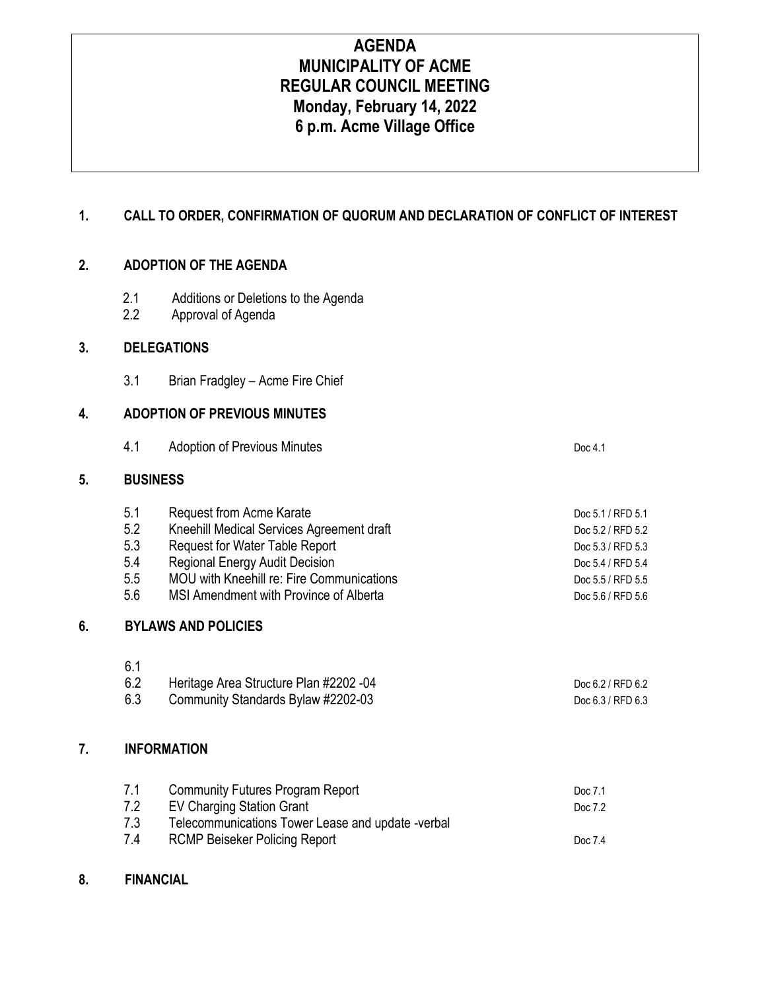# **AGENDA MUNICIPALITY OF ACME REGULAR COUNCIL MEETING Monday, February 14, 2022 6 p.m. Acme Village Office**

# **1. CALL TO ORDER, CONFIRMATION OF QUORUM AND DECLARATION OF CONFLICT OF INTEREST**

## **2. ADOPTION OF THE AGENDA**

- 2.1 Additions or Deletions to the Agenda<br>2.2 Approval of Agenda
- Approval of Agenda

#### **3. DELEGATIONS**

3.1 Brian Fradgley – Acme Fire Chief

# **4. ADOPTION OF PREVIOUS MINUTES**

4.1 Adoption of Previous Minutes **Doc 4.1** Doc 4.1

#### **5. BUSINESS**

| 5.1 | Request from Acme Karate                  | Doc 5.1 / RFD 5.1 |
|-----|-------------------------------------------|-------------------|
| 5.2 | Kneehill Medical Services Agreement draft | Doc 5.2 / RFD 5.2 |
| 5.3 | Request for Water Table Report            | Doc 5.3 / RFD 5.3 |
| 5.4 | <b>Regional Energy Audit Decision</b>     | Doc 5.4 / RFD 5.4 |
| 5.5 | MOU with Kneehill re: Fire Communications | Doc 5.5 / RFD 5.5 |
| 5.6 | MSI Amendment with Province of Alberta    | Doc 5.6 / RFD 5.6 |
|     |                                           |                   |

# **6. BYLAWS AND POLICIES**

| 6.1 |                                        |                   |
|-----|----------------------------------------|-------------------|
|     | Heritage Area Structure Plan #2202 -04 | Doc 6.2 / RFD 6.2 |
|     | Community Standards Bylaw #2202-03     | Doc 6.3 / RFD 6.3 |

#### **7. INFORMATION**

| 7.1 | Community Futures Program Report                  | Doc 7.1 |
|-----|---------------------------------------------------|---------|
| 7.2 | EV Charging Station Grant                         | Doc 7.2 |
| 7.3 | Telecommunications Tower Lease and update -verbal |         |
| 7.4 | <b>RCMP Beiseker Policing Report</b>              | Doc 7.4 |

#### **8. FINANCIAL**